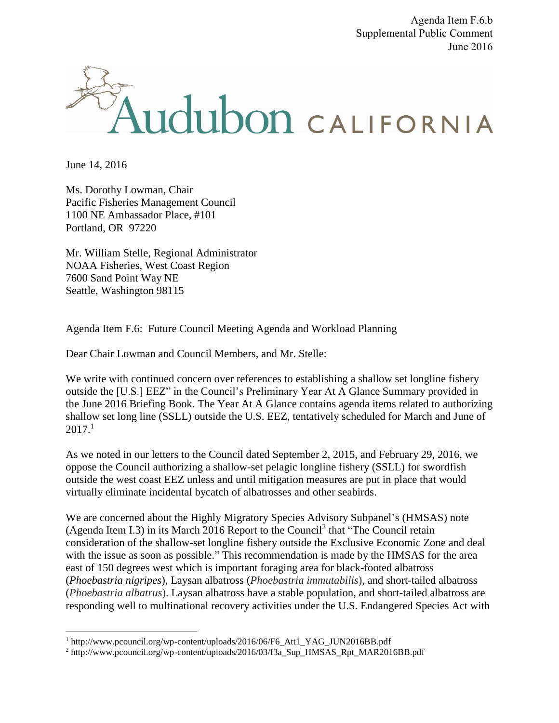Agenda Item F.6.b Supplemental Public Comment June 2016



June 14, 2016

 $\overline{a}$ 

Ms. Dorothy Lowman, Chair Pacific Fisheries Management Council 1100 NE Ambassador Place, #101 Portland, OR 97220

Mr. William Stelle, Regional Administrator NOAA Fisheries, West Coast Region 7600 Sand Point Way NE Seattle, Washington 98115

Agenda Item F.6: Future Council Meeting Agenda and Workload Planning

Dear Chair Lowman and Council Members, and Mr. Stelle:

We write with continued concern over references to establishing a shallow set longline fishery outside the [U.S.] EEZ" in the Council's Preliminary Year At A Glance Summary provided in the June 2016 Briefing Book. The Year At A Glance contains agenda items related to authorizing shallow set long line (SSLL) outside the U.S. EEZ, tentatively scheduled for March and June of  $2017<sup>1</sup>$ 

As we noted in our letters to the Council dated September 2, 2015, and February 29, 2016, we oppose the Council authorizing a shallow-set pelagic longline fishery (SSLL) for swordfish outside the west coast EEZ unless and until mitigation measures are put in place that would virtually eliminate incidental bycatch of albatrosses and other seabirds.

We are concerned about the Highly Migratory Species Advisory Subpanel's (HMSAS) note (Agenda Item I.3) in its March 2016 Report to the Council<sup>2</sup> that "The Council retain consideration of the shallow-set longline fishery outside the Exclusive Economic Zone and deal with the issue as soon as possible." This recommendation is made by the HMSAS for the area east of 150 degrees west which is important foraging area for black-footed albatross (*Phoebastria nigripes*), Laysan albatross (*Phoebastria immutabilis*), and short-tailed albatross (*Phoebastria albatrus*). Laysan albatross have a stable population, and short-tailed albatross are responding well to multinational recovery activities under the U.S. Endangered Species Act with

<sup>&</sup>lt;sup>1</sup> http://www.pcouncil.org/wp-content/uploads/2016/06/F6\_Att1\_YAG\_JUN2016BB.pdf

<sup>2</sup> http://www.pcouncil.org/wp-content/uploads/2016/03/I3a\_Sup\_HMSAS\_Rpt\_MAR2016BB.pdf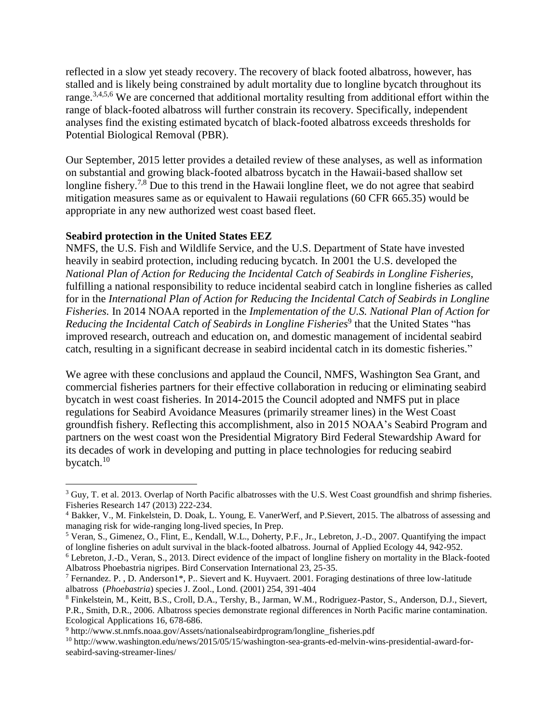reflected in a slow yet steady recovery. The recovery of black footed albatross, however, has stalled and is likely being constrained by adult mortality due to longline bycatch throughout its range.<sup>3,4,5,6</sup> We are concerned that additional mortality resulting from additional effort within the range of black-footed albatross will further constrain its recovery. Specifically, independent analyses find the existing estimated bycatch of black-footed albatross exceeds thresholds for Potential Biological Removal (PBR).

Our September, 2015 letter provides a detailed review of these analyses, as well as information on substantial and growing black-footed albatross bycatch in the Hawaii-based shallow set longline fishery.<sup>7,8</sup> Due to this trend in the Hawaii longline fleet, we do not agree that seabird mitigation measures same as or equivalent to Hawaii regulations (60 CFR 665.35) would be appropriate in any new authorized west coast based fleet.

## **Seabird protection in the United States EEZ**

 $\overline{a}$ 

NMFS, the U.S. Fish and Wildlife Service, and the U.S. Department of State have invested heavily in seabird protection, including reducing bycatch. In 2001 the U.S. developed the *National Plan of Action for Reducing the Incidental Catch of Seabirds in Longline Fisheries,* fulfilling a national responsibility to reduce incidental seabird catch in longline fisheries as called for in the *International Plan of Action for Reducing the Incidental Catch of Seabirds in Longline Fisheries.* In 2014 NOAA reported in the *Implementation of the U.S. National Plan of Action for*  Reducing the Incidental Catch of Seabirds in Longline Fisheries<sup>9</sup> that the United States "has improved research, outreach and education on, and domestic management of incidental seabird catch, resulting in a significant decrease in seabird incidental catch in its domestic fisheries."

We agree with these conclusions and applaud the Council, NMFS, Washington Sea Grant, and commercial fisheries partners for their effective collaboration in reducing or eliminating seabird bycatch in west coast fisheries. In 2014-2015 the Council adopted and NMFS put in place regulations for Seabird Avoidance Measures (primarily streamer lines) in the West Coast groundfish fishery. Reflecting this accomplishment, also in 2015 NOAA's Seabird Program and partners on the west coast won the Presidential Migratory Bird Federal Stewardship Award for its decades of work in developing and putting in place technologies for reducing seabird bycatch.<sup>10</sup>

 $3$  Guy, T. et al. 2013. Overlap of North Pacific albatrosses with the U.S. West Coast groundfish and shrimp fisheries. Fisheries Research 147 (2013) 222-234.

<sup>4</sup> Bakker, V., M. Finkelstein, D. Doak, L. Young, E. VanerWerf, and P.Sievert, 2015. The albatross of assessing and managing risk for wide-ranging long-lived species, In Prep.

<sup>5</sup> Veran, S., Gimenez, O., Flint, E., Kendall, W.L., Doherty, P.F., Jr., Lebreton, J.-D., 2007. Quantifying the impact of longline fisheries on adult survival in the black-footed albatross. Journal of Applied Ecology 44, 942-952.

<sup>&</sup>lt;sup>6</sup> Lebreton, J.-D., Veran, S., 2013. Direct evidence of the impact of longline fishery on mortality in the Black-footed Albatross Phoebastria nigripes. Bird Conservation International 23, 25-35.

<sup>7</sup> Fernandez. P. , D. Anderson1\*, P.. Sievert and K. Huyvaert. 2001. Foraging destinations of three low-latitude albatross (*Phoebastria*) species J. Zool., Lond. (2001) 254, 391-404

<sup>8</sup> Finkelstein, M., Keitt, B.S., Croll, D.A., Tershy, B., Jarman, W.M., Rodriguez-Pastor, S., Anderson, D.J., Sievert, P.R., Smith, D.R., 2006. Albatross species demonstrate regional differences in North Pacific marine contamination. Ecological Applications 16, 678-686.

<sup>&</sup>lt;sup>9</sup> http://www.st.nmfs.noaa.gov/Assets/nationalseabirdprogram/longline\_fisheries.pdf

<sup>10</sup> http://www.washington.edu/news/2015/05/15/washington-sea-grants-ed-melvin-wins-presidential-award-forseabird-saving-streamer-lines/